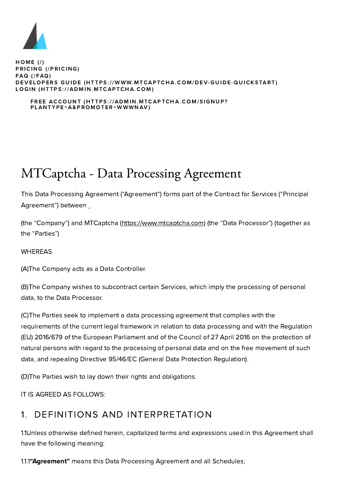

 $HOME (l)$ [PRICI](https://www.mtcaptcha.com/pricing)NG (/PRICING)  $FAQ$  (/ $FAQ$ ) DEVELOPERS GUIDE (HTTPS://WWW.MTCAPTCHA.COM/DEV-GUIDE-QU[ICKSTART](https://www.mtcaptcha.com/dev-guide-quickstart)) LOGIN (HTTPS://ADMIN.M[TCAP](https://admin.mtcaptcha.com/)TCHA.COM)

#### FREE ACCOUNT (HTTPS://ADMIN.MTCAPTCHA.COM/SIGNUP? PLANTYPE[=A&PR](https://admin.mtcaptcha.com/signup?plantype=A&promoter=wwwnav)OMOTER=WWWNAV)

# MTCaptcha - Data Processing Agreement

This Data Processing Agreement ("Agreement") forms part of the Contract for Services ("Principal Agreement") between

(the "Company") and MTCaptcha (https://www.mtcaptcha.com) (the "Data Processor") (together as the "Parties")

#### **WHEREAS**

(A)The Company acts as a Data Controller.

(B)The Company wishes to subcontract certain Services, which imply the processing of personal data, to the Data Processor.

(C)The Parties seek to implement a data processing agreement that complies with the requirements of the current legal framework in relation to data processing and with the Regulation (EU) 2016/679 of the European Parliament and of the Council of 27 April 2016 on the protection of natural persons with regard to the processing of personal data and on the free movement of such data, and repealing Directive 95/46/EC (General Data Protection Regulation).

(D)The Parties wish to lay down their rights and obligations.

IT IS AGREED AS FOLLOWS:

# 1. DEFINITIONS AND INTERPRETATION

1.1Unless otherwise defined herein, capitalized terms and expressions used in this Agreement shall have the following meaning:

1.1.1"Agreement" means this Data Processing Agreement and all Schedules;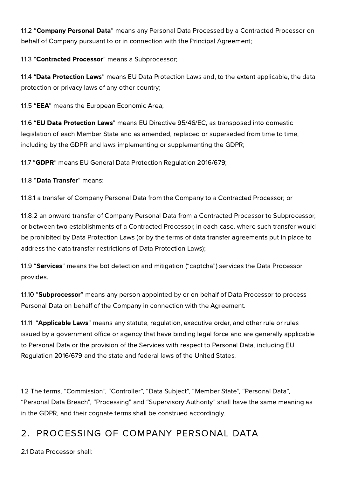1.1.2 "Company Personal Data" means any Personal Data Processed by a Contracted Processor on behalf of Company pursuant to or in connection with the Principal Agreement;

1.1.3 "Contracted Processor" means a Subprocessor;

1.1.4 "Data Protection Laws" means EU Data Protection Laws and, to the extent applicable, the data protection or privacy laws of any other country;

1.1.5 "EEA" means the European Economic Area;

1.1.6 "EU Data Protection Laws" means EU Directive 95/46/EC, as transposed into domestic legislation of each Member State and as amended, replaced or superseded from time to time, including by the GDPR and laws implementing or supplementing the GDPR;

1.1.7 "GDPR" means EU General Data Protection Regulation 2016/679;

1.1.8 "Data Transfer" means:

1.1.8.1 a transfer of Company Personal Data from the Company to a Contracted Processor; or

1.1.8.2 an onward transfer of Company Personal Data from a Contracted Processor to Subprocessor, or between two establishments of a Contracted Processor, in each case, where such transfer would be prohibited by Data Protection Laws (or by the terms of data transfer agreements put in place to address the data transfer restrictions of Data Protection Laws);

1.1.9 "Services" means the bot detection and mitigation ("captcha") services the Data Processor provides.

1.1.10 "Subprocessor" means any person appointed by or on behalf of Data Processor to process Personal Data on behalf of the Company in connection with the Agreement.

1.1.11 "Applicable Laws" means any statute, regulation, executive order, and other rule or rules issued by a government office or agency that have binding legal force and are generally applicable to Personal Data or the provision of the Services with respect to Personal Data, including EU Regulation 2016/679 and the state and federal laws of the United States.

1.2 The terms, "Commission", "Controller", "Data Subject", "Member State", "Personal Data", "Personal Data Breach", "Processing" and "Supervisory Authority" shall have the same meaning as in the GDPR, and their cognate terms shall be construed accordingly.

## 2. PROCESSING OF COMPANY PERSONAL DATA

2.1 Data Processor shall: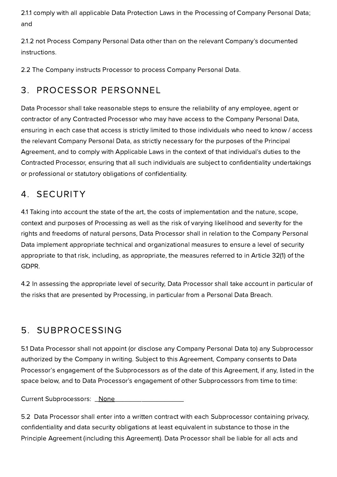2.1.1 comply with all applicable Data Protection Laws in the Processing of Company Personal Data; and

2.1.2 not Process Company Personal Data other than on the relevant Company's documented instructions.

2.2 The Company instructs Processor to process Company Personal Data.

# 3. PROCESSOR PERSONNEL

Data Processor shall take reasonable steps to ensure the reliability of any employee, agent or contractor of any Contracted Processor who may have access to the Company Personal Data, ensuring in each case that access is strictly limited to those individuals who need to know / access the relevant Company Personal Data, as strictly necessary for the purposes of the Principal Agreement, and to comply with Applicable Laws in the context of that individual's duties to the Contracted Processor, ensuring that all such individuals are subject to confidentiality undertakings or professional or statutory obligations of confidentiality.

## 4. SECURITY

4.1 Taking into account the state of the art, the costs of implementation and the nature, scope, context and purposes of Processing as well as the risk of varying likelihood and severity for the rights and freedoms of natural persons, Data Processor shall in relation to the Company Personal Data implement appropriate technical and organizational measures to ensure a level of security appropriate to that risk, including, as appropriate, the measures referred to in Article 32(1) of the GDPR.

4.2 In assessing the appropriate level of security, Data Processor shall take account in particular of the risks that are presented by Processing, in particular from a Personal Data Breach.

# 5. SUBPROCESSING

5.1 Data Processor shall not appoint (or disclose any Company Personal Data to) any Subprocessor authorized by the Company in writing. Subject to this Agreement, Company consents to Data Processor's engagement of the Subprocessors as of the date of this Agreement, if any, listed in the space below, and to Data Processor's engagement of other Subprocessors from time to time:

Current Subprocessors: None

5.2 Data Processor shall enter into a written contract with each Subprocessor containing privacy, confidentiality and data security obligations at least equivalent in substance to those in the Principle Agreement (including this Agreement). Data Processor shall be liable for all acts and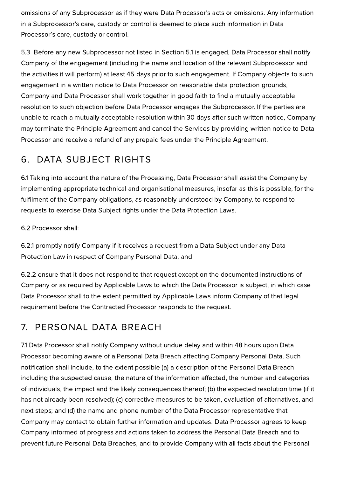omissions of any Subprocessor as if they were Data Processor's acts or omissions. Any information in a Subprocessor's care, custody or control is deemed to place such information in Data Processor's care, custody or control.

5.3 Before any new Subprocessor not listed in Section 5.1 is engaged, Data Processor shall notify Company of the engagement (including the name and location of the relevant Subprocessor and the activities it will perform) at least 45 days prior to such engagement. If Company objects to such engagement in a written notice to Data Processor on reasonable data protection grounds, Company and Data Processor shall work together in good faith to find a mutually acceptable resolution to such objection before Data Processor engages the Subprocessor. If the parties are unable to reach a mutually acceptable resolution within 30 days after such written notice, Company may terminate the Principle Agreement and cancel the Services by providing written notice to Data Processor and receive a refund of any prepaid fees under the Principle Agreement.

#### 6. DATA SUBJECT RIGHTS

6.1 Taking into account the nature of the Processing, Data Processor shall assist the Company by implementing appropriate technical and organisational measures, insofar as this is possible, for the fulfilment of the Company obligations, as reasonably understood by Company, to respond to requests to exercise Data Subject rights under the Data Protection Laws.

6.2 Processor shall:

6.2.1 promptly notify Company if it receives a request from a Data Subject under any Data Protection Law in respect of Company Personal Data; and

6.2.2 ensure that it does not respond to that request except on the documented instructions of Company or as required by Applicable Laws to which the Data Processor is subject, in which case Data Processor shall to the extent permitted by Applicable Laws inform Company of that legal requirement before the Contracted Processor responds to the request.

## 7. PERSONAL DATA BREACH

7.1 Data Processor shall notify Company without undue delay and within 48 hours upon Data Processor becoming aware of a Personal Data Breach affecting Company Personal Data. Such notification shall include, to the extent possible (a) a description of the Personal Data Breach including the suspected cause, the nature of the information affected, the number and categories of individuals, the impact and the likely consequences thereof; (b) the expected resolution time (if it has not already been resolved); (c) corrective measures to be taken, evaluation of alternatives, and next steps; and (d) the name and phone number of the Data Processor representative that Company may contact to obtain further information and updates. Data Processor agrees to keep Company informed of progress and actions taken to address the Personal Data Breach and to prevent future Personal Data Breaches, and to provide Company with all facts about the Personal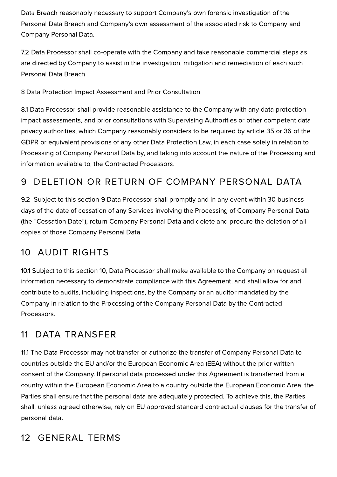Data Breach reasonably necessary to support Company's own forensic investigation of the Personal Data Breach and Company's own assessment of the associated risk to Company and Company Personal Data.

7.2 Data Processor shall co-operate with the Company and take reasonable commercial steps as are directed by Company to assist in the investigation, mitigation and remediation of each such Personal Data Breach.

8 Data Protection Impact Assessment and Prior Consultation

8.1 Data Processor shall provide reasonable assistance to the Company with any data protection impact assessments, and prior consultations with Supervising Authorities or other competent data privacy authorities, which Company reasonably considers to be required by article 35 or 36 of the GDPR or equivalent provisions of any other Data Protection Law, in each case solely in relation to Processing of Company Personal Data by, and taking into account the nature of the Processing and information available to, the Contracted Processors.

# 9 DELETION OR RETURN OF COMPANY PERSONAL DATA

9.2 Subject to this section 9 Data Processor shall promptly and in any event within 30 business days of the date of cessation of any Services involving the Processing of Company Personal Data (the "Cessation Date"), return Company Personal Data and delete and procure the deletion of all copies of those Company Personal Data.

#### 10 AUDIT RIGHTS

10.1 Subject to this section 10, Data Processor shall make available to the Company on request all information necessary to demonstrate compliance with this Agreement, and shall allow for and contribute to audits, including inspections, by the Company or an auditor mandated by the Company in relation to the Processing of the Company Personal Data by the Contracted Processors.

#### 11 DATA TRANSFER

11.1 The Data Processor may not transfer or authorize the transfer of Company Personal Data to countries outside the EU and/or the European Economic Area (EEA) without the prior written consent of the Company. If personal data processed under this Agreement is transferred from a country within the European Economic Area to a country outside the European Economic Area, the Parties shall ensure that the personal data are adequately protected. To achieve this, the Parties shall, unless agreed otherwise, rely on EU approved standard contractual clauses for the transfer of personal data.

## 12 GENERAL TERMS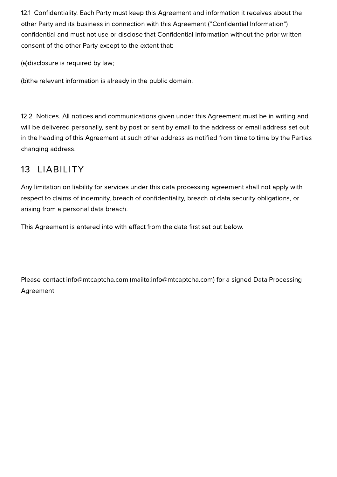12.1 Confidentiality. Each Party must keep this Agreement and information it receives about the other Party and its business in connection with this Agreement ("Confidential Information") confidential and must not use or disclose that Confidential Information without the prior written consent of the other Party except to the extent that:

(a)disclosure is required by law;

(b)the relevant information is already in the public domain.

12.2 Notices. All notices and communications given under this Agreement must be in writing and will be delivered personally, sent by post or sent by email to the address or email address set out in the heading of this Agreement at such other address as notified from time to time by the Parties changing address.

#### 13 LIABILITY

Any limitation on liability for services under this data processing agreement shall not apply with respect to claims of indemnity, breach of confidentiality, breach of data security obligations, or arising from a personal data breach.

This Agreement is entered into with effect from the date first set out below.

Please contact info@mtcaptcha.com [\(mailto:info@mtcaptcha.com\)](mailto:info@mtcaptcha.com) for a signed Data Processing Agreement